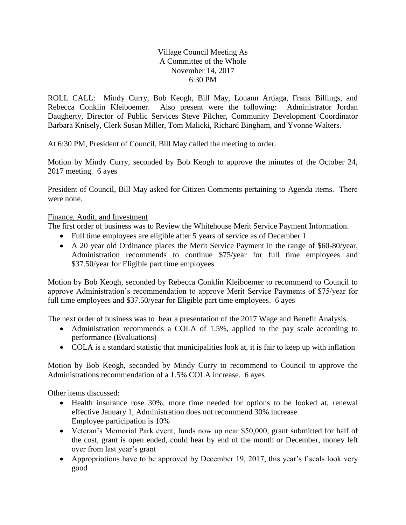## Village Council Meeting As A Committee of the Whole November 14, 2017 6:30 PM

ROLL CALL: Mindy Curry, Bob Keogh, Bill May, Louann Artiaga, Frank Billings, and Rebecca Conklin Kleiboemer. Also present were the following: Administrator Jordan Daugherty, Director of Public Services Steve Pilcher, Community Development Coordinator Barbara Knisely, Clerk Susan Miller, Tom Malicki, Richard Bingham, and Yvonne Walters.

At 6:30 PM, President of Council, Bill May called the meeting to order.

Motion by Mindy Curry, seconded by Bob Keogh to approve the minutes of the October 24, 2017 meeting. 6 ayes

President of Council, Bill May asked for Citizen Comments pertaining to Agenda items. There were none.

## Finance, Audit, and Investment

The first order of business was to Review the Whitehouse Merit Service Payment Information.

- Full time employees are eligible after 5 years of service as of December 1
- A 20 year old Ordinance places the Merit Service Payment in the range of \$60-80/year, Administration recommends to continue \$75/year for full time employees and \$37.50/year for Eligible part time employees

Motion by Bob Keogh, seconded by Rebecca Conklin Kleiboemer to recommend to Council to approve Administration's recommendation to approve Merit Service Payments of \$75/year for full time employees and \$37.50/year for Eligible part time employees. 6 ayes

The next order of business was to hear a presentation of the 2017 Wage and Benefit Analysis.

- Administration recommends a COLA of 1.5%, applied to the pay scale according to performance (Evaluations)
- COLA is a standard statistic that municipalities look at, it is fair to keep up with inflation

Motion by Bob Keogh, seconded by Mindy Curry to recommend to Council to approve the Administrations recommendation of a 1.5% COLA increase. 6 ayes

Other items discussed:

- Health insurance rose 30%, more time needed for options to be looked at, renewal effective January 1, Administration does not recommend 30% increase Employee participation is 10%
- Veteran's Memorial Park event, funds now up near \$50,000, grant submitted for half of the cost, grant is open ended, could hear by end of the month or December, money left over from last year's grant
- Appropriations have to be approved by December 19, 2017, this year's fiscals look very good